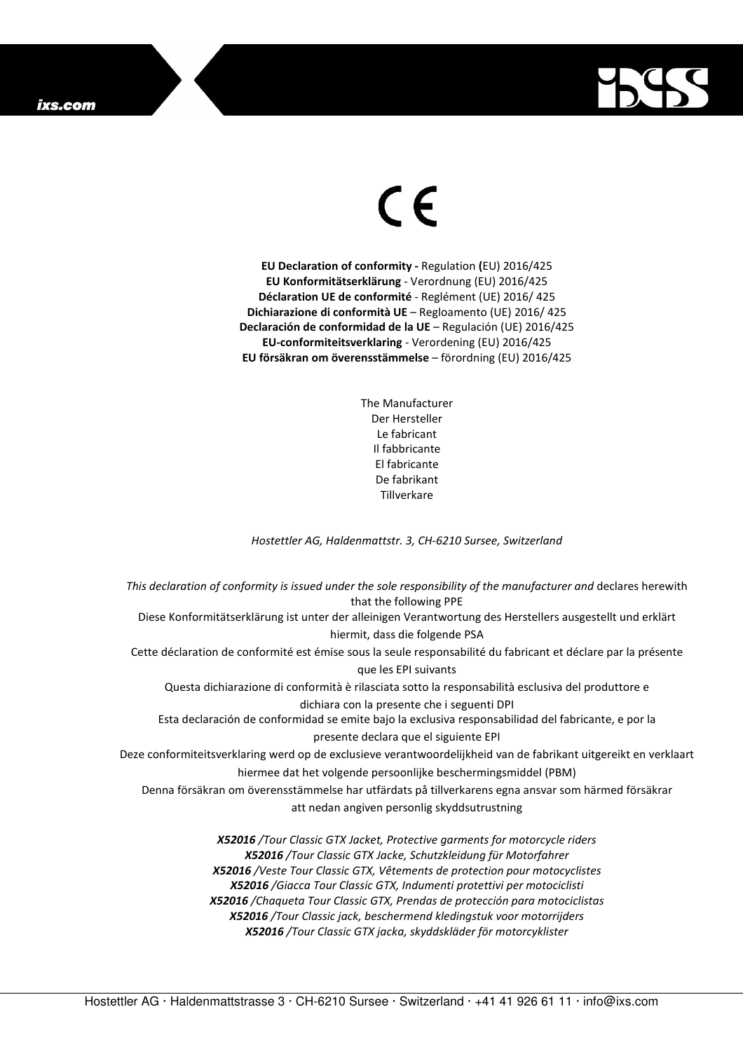## ixs.com



## $\in$

**EU Declaration of conformity -** Regulation **(**EU) 2016/425 **EU Konformitätserklärung** - Verordnung (EU) 2016/425 **Déclaration UE de conformité** - Reglément (UE) 2016/ 425 **Dichiarazione di conformità UE** – Regloamento (UE) 2016/ 425 **Declaración de conformidad de la UE** – Regulación (UE) 2016/425 **EU-conformiteitsverklaring** - Verordening (EU) 2016/425 **EU försäkran om överensstämmelse** – förordning (EU) 2016/425

> The Manufacturer Der Hersteller Le fabricant Il fabbricante El fabricante De fabrikant **Tillverkare**

*Hostettler AG, Haldenmattstr. 3, CH-6210 Sursee, Switzerland* 

*This declaration of conformity is issued under the sole responsibility of the manufacturer and* declares herewith that the following PPE Diese Konformitätserklärung ist unter der alleinigen Verantwortung des Herstellers ausgestellt und erklärt hiermit, dass die folgende PSA Cette déclaration de conformité est émise sous la seule responsabilité du fabricant et déclare par la présente que les EPI suivants Questa dichiarazione di conformità è rilasciata sotto la responsabilità esclusiva del produttore e dichiara con la presente che i seguenti DPI Esta declaración de conformidad se emite bajo la exclusiva responsabilidad del fabricante, e por la presente declara que el siguiente EPI Deze conformiteitsverklaring werd op de exclusieve verantwoordelijkheid van de fabrikant uitgereikt en verklaart hiermee dat het volgende persoonlijke beschermingsmiddel (PBM) Denna försäkran om överensstämmelse har utfärdats på tillverkarens egna ansvar som härmed försäkrar att nedan angiven personlig skyddsutrustning *X52016 /Tour Classic GTX Jacket, Protective garments for motorcycle riders X52016 /Tour Classic GTX Jacke, Schutzkleidung für Motorfahrer X52016 /Veste Tour Classic GTX, Vêtements de protection pour motocyclistes X52016 /Giacca Tour Classic GTX, Indumenti protettivi per motociclisti* 

*X52016 /Chaqueta Tour Classic GTX, Prendas de protección para motociclistas X52016 /Tour Classic jack, beschermend kledingstuk voor motorrijders* 

*X52016 /Tour Classic GTX jacka, skyddskläder för motorcyklister*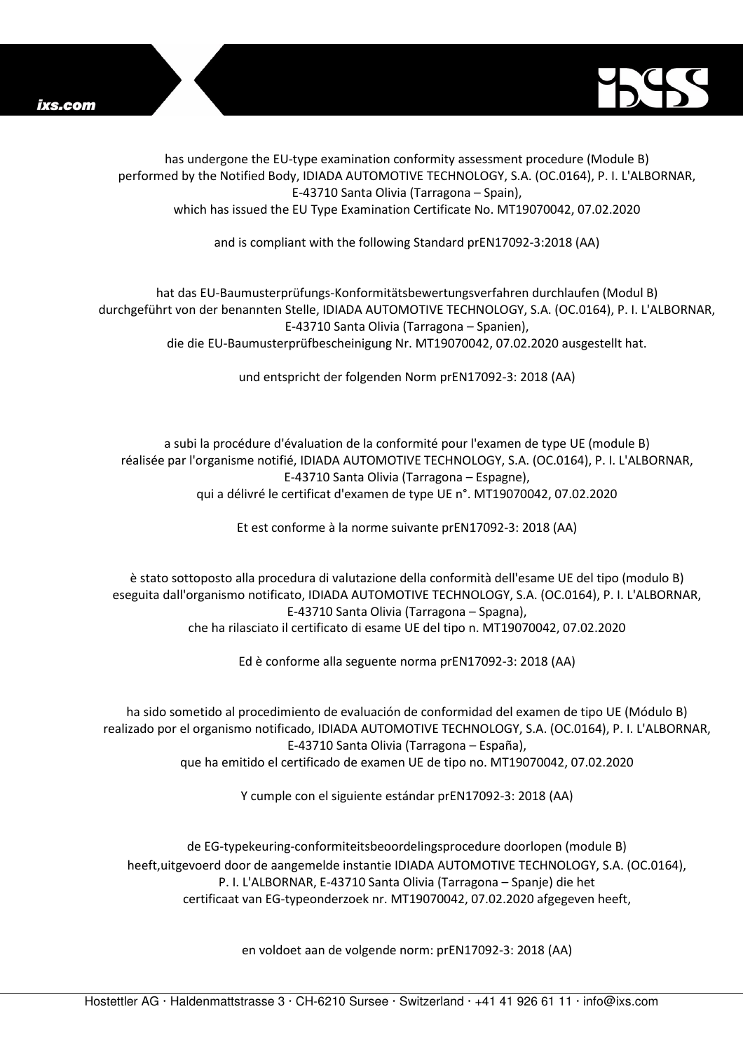



has undergone the EU-type examination conformity assessment procedure (Module B) performed by the Notified Body, IDIADA AUTOMOTIVE TECHNOLOGY, S.A. (OC.0164), P. I. L'ALBORNAR, E-43710 Santa Olivia (Tarragona – Spain), which has issued the EU Type Examination Certificate No. MT19070042, 07.02.2020

and is compliant with the following Standard prEN17092-3:2018 (AA)

hat das EU-Baumusterprüfungs-Konformitätsbewertungsverfahren durchlaufen (Modul B) durchgeführt von der benannten Stelle, IDIADA AUTOMOTIVE TECHNOLOGY, S.A. (OC.0164), P. I. L'ALBORNAR, E-43710 Santa Olivia (Tarragona – Spanien), die die EU-Baumusterprüfbescheinigung Nr. MT19070042, 07.02.2020 ausgestellt hat.

und entspricht der folgenden Norm prEN17092-3: 2018 (AA)

a subi la procédure d'évaluation de la conformité pour l'examen de type UE (module B) réalisée par l'organisme notifié, IDIADA AUTOMOTIVE TECHNOLOGY, S.A. (OC.0164), P. I. L'ALBORNAR, E-43710 Santa Olivia (Tarragona – Espagne), qui a délivré le certificat d'examen de type UE n°. MT19070042, 07.02.2020

Et est conforme à la norme suivante prEN17092-3: 2018 (AA)

è stato sottoposto alla procedura di valutazione della conformità dell'esame UE del tipo (modulo B) eseguita dall'organismo notificato, IDIADA AUTOMOTIVE TECHNOLOGY, S.A. (OC.0164), P. I. L'ALBORNAR, E-43710 Santa Olivia (Tarragona – Spagna), che ha rilasciato il certificato di esame UE del tipo n. MT19070042, 07.02.2020

Ed è conforme alla seguente norma prEN17092-3: 2018 (AA)

ha sido sometido al procedimiento de evaluación de conformidad del examen de tipo UE (Módulo B) realizado por el organismo notificado, IDIADA AUTOMOTIVE TECHNOLOGY, S.A. (OC.0164), P. I. L'ALBORNAR, E-43710 Santa Olivia (Tarragona – España), que ha emitido el certificado de examen UE de tipo no. MT19070042, 07.02.2020

Y cumple con el siguiente estándar prEN17092-3: 2018 (AA)

de EG-typekeuring-conformiteitsbeoordelingsprocedure doorlopen (module B) heeft,uitgevoerd door de aangemelde instantie IDIADA AUTOMOTIVE TECHNOLOGY, S.A. (OC.0164), P. I. L'ALBORNAR, E-43710 Santa Olivia (Tarragona – Spanje) die het certificaat van EG-typeonderzoek nr. MT19070042, 07.02.2020 afgegeven heeft,

en voldoet aan de volgende norm: prEN17092-3: 2018 (AA)